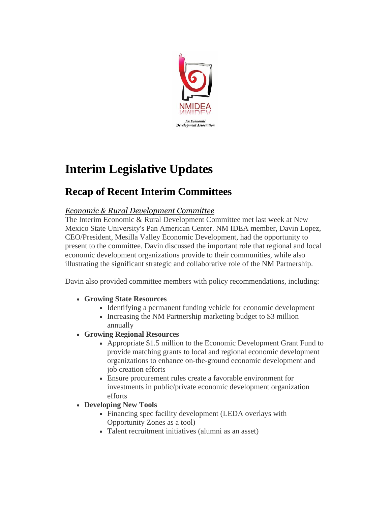

# **Interim Legislative Updates**

## **Recap of Recent Interim Committees**

### *Economic & Rural Development Committee*

The Interim Economic & Rural Development Committee met last week at New Mexico State University's Pan American Center. NM IDEA member, Davin Lopez, CEO/President, Mesilla Valley Economic Development, had the opportunity to present to the committee. Davin discussed the important role that regional and local economic development organizations provide to their communities, while also illustrating the significant strategic and collaborative role of the NM Partnership.

Davin also provided committee members with policy recommendations, including:

- **Growing State Resources**
	- Identifying a permanent funding vehicle for economic development
	- Increasing the NM Partnership marketing budget to \$3 million annually
- **Growing Regional Resources**
	- Appropriate \$1.5 million to the Economic Development Grant Fund to provide matching grants to local and regional economic development organizations to enhance on-the-ground economic development and job creation efforts
	- Ensure procurement rules create a favorable environment for investments in public/private economic development organization efforts
- **Developing New Tools**
	- Financing spec facility development (LEDA overlays with Opportunity Zones as a tool)
	- Talent recruitment initiatives (alumni as an asset)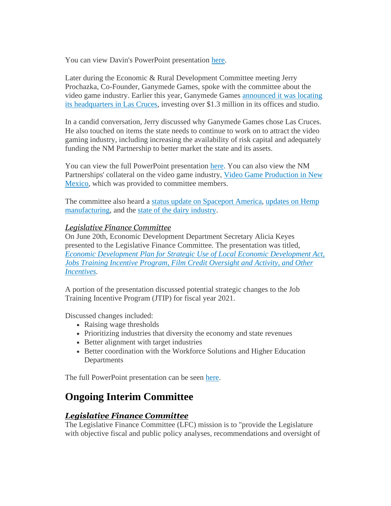You can view Davin's PowerPoint presentation [here.](http://r20.rs6.net/tn.jsp?f=001kERz0cJYgtUyoQ931zcPlFpUSU_o1Se4lWmhptVdPJQv23v2DaAuolNBoravD24vZzsTIvH9AyKVdJjoS2eYrFqoi1aezlWsf4ViyerI_OUmuJuJMjzuKIExfPpN7Nb1krnBD2xLDZgMyCacV9u3podvcnFt-k-XVWz-5GxXNgyhhJeYWsnTfRabntqURv1mlNVTTvBTEpkO7O15S4blsPZY_UCOx-VIDpUghvOXHD6785qBDrSxCCiToj8VkNjE3Y26MGA0Tmc=&c=m8lCRdfEvtOryBU6P8DT7ZLwVCmc9jgCHZEufN0mO-nKvFz3zdnUvA==&ch=F9iIkoQ-n5_fW7OghZYEctIWTIZFPoPGc9-LFi0NTuOLaHug4hUtSw==)

Later during the Economic & Rural Development Committee meeting Jerry Prochazka, Co-Founder, Ganymede Games, spoke with the committee about the video game industry. Earlier this year, Ganymede Games [announced it was locating](http://r20.rs6.net/tn.jsp?f=001kERz0cJYgtUyoQ931zcPlFpUSU_o1Se4lWmhptVdPJQv23v2DaAuolNBoravD24vpFsiaMiqm_RbCWQ5Iz0z1hq2pR223ZWmpvZ_o2BFz_aXS4vGkNCs54_I4Isbb0_F_RTHqNakQ8wvsNBGyZIsTj4qq9VqPFl4HV6ZCcWG1ShPtO_-2sl4P5S649I5NXONQhZcZGrSljKzsEJCsYEMunnd87jvg82lKTMzFz2Nx9JMOdu_usd1nKmunYnDFrQE9QqtcDbgjQEsW5whwya7nwfM278Vh5j_XcRXH4IRYK--Pic6-n2gqA==&c=m8lCRdfEvtOryBU6P8DT7ZLwVCmc9jgCHZEufN0mO-nKvFz3zdnUvA==&ch=F9iIkoQ-n5_fW7OghZYEctIWTIZFPoPGc9-LFi0NTuOLaHug4hUtSw==)  [its headquarters in Las Cruces,](http://r20.rs6.net/tn.jsp?f=001kERz0cJYgtUyoQ931zcPlFpUSU_o1Se4lWmhptVdPJQv23v2DaAuolNBoravD24vpFsiaMiqm_RbCWQ5Iz0z1hq2pR223ZWmpvZ_o2BFz_aXS4vGkNCs54_I4Isbb0_F_RTHqNakQ8wvsNBGyZIsTj4qq9VqPFl4HV6ZCcWG1ShPtO_-2sl4P5S649I5NXONQhZcZGrSljKzsEJCsYEMunnd87jvg82lKTMzFz2Nx9JMOdu_usd1nKmunYnDFrQE9QqtcDbgjQEsW5whwya7nwfM278Vh5j_XcRXH4IRYK--Pic6-n2gqA==&c=m8lCRdfEvtOryBU6P8DT7ZLwVCmc9jgCHZEufN0mO-nKvFz3zdnUvA==&ch=F9iIkoQ-n5_fW7OghZYEctIWTIZFPoPGc9-LFi0NTuOLaHug4hUtSw==) investing over \$1.3 million in its offices and studio.

In a candid conversation, Jerry discussed why Ganymede Games chose Las Cruces. He also touched on items the state needs to continue to work on to attract the video gaming industry, including increasing the availability of risk capital and adequately funding the NM Partnership to better market the state and its assets.

You can view the full PowerPoint presentation [here.](http://r20.rs6.net/tn.jsp?f=001kERz0cJYgtUyoQ931zcPlFpUSU_o1Se4lWmhptVdPJQv23v2DaAuolNBoravD24vohrWD8oW9s9n52mNt4i5gW3DJGJWbYQ-__6Epl8hoEMYU-HFDnv5xKnchbdrfI1LSW6cZplfMqP2hr3iMy77Ef9xE9OJv9JaE8B8ejlUIwkogPnkKbI0lYSQ8INo4CqYHYeBYkM9aw8jC8hVNjm08x0lDoPK6a4BTQozepLddbiZ1TT57iN6NA==&c=m8lCRdfEvtOryBU6P8DT7ZLwVCmc9jgCHZEufN0mO-nKvFz3zdnUvA==&ch=F9iIkoQ-n5_fW7OghZYEctIWTIZFPoPGc9-LFi0NTuOLaHug4hUtSw==) You can also view the NM Partnerships' collateral on the video game industry, [Video Game Production in New](http://r20.rs6.net/tn.jsp?f=001kERz0cJYgtUyoQ931zcPlFpUSU_o1Se4lWmhptVdPJQv23v2DaAuolNBoravD24vh0Vb2x_d9F6pdv3l5olVtDvdeL34kII3P3r1wsXE6aRcr88TmbGFUd6r--z476RaLQ4w9WYCu2VouvK1aBkna6ia7ICdlVhDomUQ9cVqJDODs4_8sRSb_npWeGShUTk-3aCQ4BOlBbqu-SoA4vuWXFGQvvFsG3a-&c=m8lCRdfEvtOryBU6P8DT7ZLwVCmc9jgCHZEufN0mO-nKvFz3zdnUvA==&ch=F9iIkoQ-n5_fW7OghZYEctIWTIZFPoPGc9-LFi0NTuOLaHug4hUtSw==)  [Mexico,](http://r20.rs6.net/tn.jsp?f=001kERz0cJYgtUyoQ931zcPlFpUSU_o1Se4lWmhptVdPJQv23v2DaAuolNBoravD24vh0Vb2x_d9F6pdv3l5olVtDvdeL34kII3P3r1wsXE6aRcr88TmbGFUd6r--z476RaLQ4w9WYCu2VouvK1aBkna6ia7ICdlVhDomUQ9cVqJDODs4_8sRSb_npWeGShUTk-3aCQ4BOlBbqu-SoA4vuWXFGQvvFsG3a-&c=m8lCRdfEvtOryBU6P8DT7ZLwVCmc9jgCHZEufN0mO-nKvFz3zdnUvA==&ch=F9iIkoQ-n5_fW7OghZYEctIWTIZFPoPGc9-LFi0NTuOLaHug4hUtSw==) which was provided to committee members.

The committee also heard a [status update on Spaceport America,](http://r20.rs6.net/tn.jsp?f=001kERz0cJYgtUyoQ931zcPlFpUSU_o1Se4lWmhptVdPJQv23v2DaAuolNBoravD24vhiC1d01qBLK47K8KJJJslUkyFQ_5YWBW6e3Kpa9dR5www1a-lRUxOuHviLbL0G_VM_m0E8dJyOB57ZpYOhETur00KLGyW4ld0JZ7jZYMlH1VDe2HU-u-sKI4g3Msbb62lIKbQvjJBxc4qy_dumXHCnwdUh4aVb2osUfuLZpkUOw=&c=m8lCRdfEvtOryBU6P8DT7ZLwVCmc9jgCHZEufN0mO-nKvFz3zdnUvA==&ch=F9iIkoQ-n5_fW7OghZYEctIWTIZFPoPGc9-LFi0NTuOLaHug4hUtSw==) [updates on Hemp](http://r20.rs6.net/tn.jsp?f=001kERz0cJYgtUyoQ931zcPlFpUSU_o1Se4lWmhptVdPJQv23v2DaAuolNBoravD24vInefJ-UrKFp_rs-0-vmRoDop1bIhW5YZU7FFlbZ58pvl_FefvqHuv7pl6LAxUQCr1VKVcCnfX5D79Q1AZECUnVkiyTZdLz5TNuzFuUkuJwCvpSKv5Z1VTZEUYb7FYev65iiV0xT0EGSgVBUXhvE9ZLxRgNnZSJ1WJ-jPxyNAYNNF0mVvxFugJIvdCmnM6mt-&c=m8lCRdfEvtOryBU6P8DT7ZLwVCmc9jgCHZEufN0mO-nKvFz3zdnUvA==&ch=F9iIkoQ-n5_fW7OghZYEctIWTIZFPoPGc9-LFi0NTuOLaHug4hUtSw==)  [manufacturing,](http://r20.rs6.net/tn.jsp?f=001kERz0cJYgtUyoQ931zcPlFpUSU_o1Se4lWmhptVdPJQv23v2DaAuolNBoravD24vInefJ-UrKFp_rs-0-vmRoDop1bIhW5YZU7FFlbZ58pvl_FefvqHuv7pl6LAxUQCr1VKVcCnfX5D79Q1AZECUnVkiyTZdLz5TNuzFuUkuJwCvpSKv5Z1VTZEUYb7FYev65iiV0xT0EGSgVBUXhvE9ZLxRgNnZSJ1WJ-jPxyNAYNNF0mVvxFugJIvdCmnM6mt-&c=m8lCRdfEvtOryBU6P8DT7ZLwVCmc9jgCHZEufN0mO-nKvFz3zdnUvA==&ch=F9iIkoQ-n5_fW7OghZYEctIWTIZFPoPGc9-LFi0NTuOLaHug4hUtSw==) and the [state of the dairy industry.](http://r20.rs6.net/tn.jsp?f=001kERz0cJYgtUyoQ931zcPlFpUSU_o1Se4lWmhptVdPJQv23v2DaAuolNBoravD24vJK3_NgxBM3f45OHBF9BjQt2fDJzcglDFf1uXiPvvQ5wK__4xiWANfymu50Ht5wkgI2GEzw9aQcVn5ji0x74Nc-KLH7leVaffC87CrGCvSG75kOfM_5bEYRaTLHIIKnHmZjmm-5HS4h_CbM1Wlig7cQoklICUXrFohBFpBmHY_3DHF_7f4PE_4g==&c=m8lCRdfEvtOryBU6P8DT7ZLwVCmc9jgCHZEufN0mO-nKvFz3zdnUvA==&ch=F9iIkoQ-n5_fW7OghZYEctIWTIZFPoPGc9-LFi0NTuOLaHug4hUtSw==)

#### *Legislative Finance Committee*

On June 20th, Economic Development Department Secretary Alicia Keyes presented to the Legislative Finance Committee. The presentation was titled, *[Economic Development Plan for Strategic Use of Local Economic Development Act,](http://r20.rs6.net/tn.jsp?f=001kERz0cJYgtUyoQ931zcPlFpUSU_o1Se4lWmhptVdPJQv23v2DaAuolNBoravD24vj6LNgLYs84Xo8Q_heOfHd_mmVtkymQnXyNlGwdtjRBuYAGHtJbNuS2rwAjV6N4VW0rEUJcawtvGON6UKeJvv3B-Ds62Fa3oBFY9R13OwSliFc0cixTOmykBU0AUAEDIK7kS5rbCsB1EhTfG92qnwKXRfhmtAnB_6nBBN0EiTBrFseeKUguEGwnKX6c5d06eC&c=m8lCRdfEvtOryBU6P8DT7ZLwVCmc9jgCHZEufN0mO-nKvFz3zdnUvA==&ch=F9iIkoQ-n5_fW7OghZYEctIWTIZFPoPGc9-LFi0NTuOLaHug4hUtSw==)  [Jobs Training Incentive Program, Film Credit Oversight and Activity, and Other](http://r20.rs6.net/tn.jsp?f=001kERz0cJYgtUyoQ931zcPlFpUSU_o1Se4lWmhptVdPJQv23v2DaAuolNBoravD24vj6LNgLYs84Xo8Q_heOfHd_mmVtkymQnXyNlGwdtjRBuYAGHtJbNuS2rwAjV6N4VW0rEUJcawtvGON6UKeJvv3B-Ds62Fa3oBFY9R13OwSliFc0cixTOmykBU0AUAEDIK7kS5rbCsB1EhTfG92qnwKXRfhmtAnB_6nBBN0EiTBrFseeKUguEGwnKX6c5d06eC&c=m8lCRdfEvtOryBU6P8DT7ZLwVCmc9jgCHZEufN0mO-nKvFz3zdnUvA==&ch=F9iIkoQ-n5_fW7OghZYEctIWTIZFPoPGc9-LFi0NTuOLaHug4hUtSw==)  [Incentives.](http://r20.rs6.net/tn.jsp?f=001kERz0cJYgtUyoQ931zcPlFpUSU_o1Se4lWmhptVdPJQv23v2DaAuolNBoravD24vj6LNgLYs84Xo8Q_heOfHd_mmVtkymQnXyNlGwdtjRBuYAGHtJbNuS2rwAjV6N4VW0rEUJcawtvGON6UKeJvv3B-Ds62Fa3oBFY9R13OwSliFc0cixTOmykBU0AUAEDIK7kS5rbCsB1EhTfG92qnwKXRfhmtAnB_6nBBN0EiTBrFseeKUguEGwnKX6c5d06eC&c=m8lCRdfEvtOryBU6P8DT7ZLwVCmc9jgCHZEufN0mO-nKvFz3zdnUvA==&ch=F9iIkoQ-n5_fW7OghZYEctIWTIZFPoPGc9-LFi0NTuOLaHug4hUtSw==)*

A portion of the presentation discussed potential strategic changes to the Job Training Incentive Program (JTIP) for fiscal year 2021.

Discussed changes included:

- Raising wage thresholds
- Prioritizing industries that diversity the economy and state revenues
- Better alignment with target industries
- Better coordination with the Workforce Solutions and Higher Education Departments

The full PowerPoint presentation can be seen [here.](http://r20.rs6.net/tn.jsp?f=001kERz0cJYgtUyoQ931zcPlFpUSU_o1Se4lWmhptVdPJQv23v2DaAuolNBoravD24vj6LNgLYs84Xo8Q_heOfHd_mmVtkymQnXyNlGwdtjRBuYAGHtJbNuS2rwAjV6N4VW0rEUJcawtvGON6UKeJvv3B-Ds62Fa3oBFY9R13OwSliFc0cixTOmykBU0AUAEDIK7kS5rbCsB1EhTfG92qnwKXRfhmtAnB_6nBBN0EiTBrFseeKUguEGwnKX6c5d06eC&c=m8lCRdfEvtOryBU6P8DT7ZLwVCmc9jgCHZEufN0mO-nKvFz3zdnUvA==&ch=F9iIkoQ-n5_fW7OghZYEctIWTIZFPoPGc9-LFi0NTuOLaHug4hUtSw==)

### **Ongoing Interim Committee**

#### *Legislative Finance Committee*

The Legislative Finance Committee (LFC) mission is to "provide the Legislature with objective fiscal and public policy analyses, recommendations and oversight of